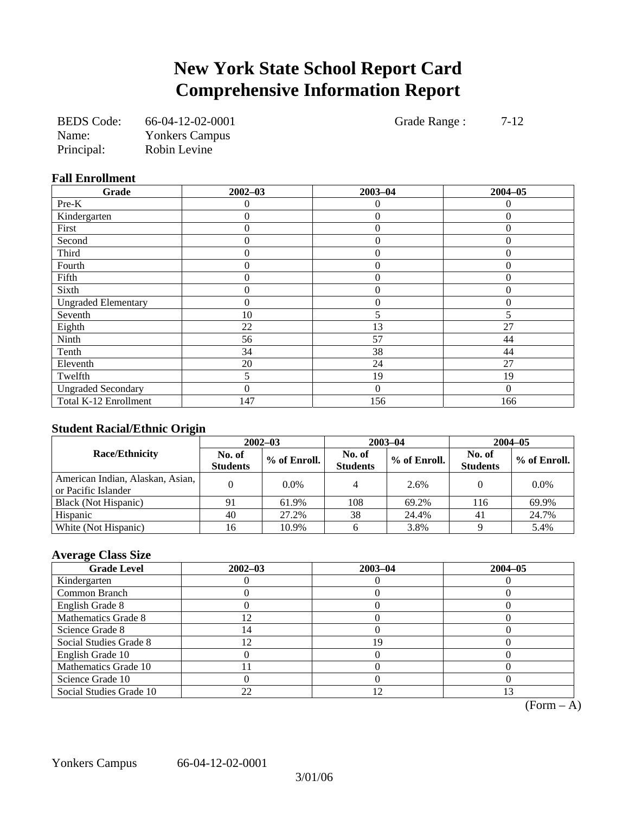## **New York State School Report Card Comprehensive Information Report**

| <b>BEDS</b> Code: | 66-04-12-02-0001      |
|-------------------|-----------------------|
| Name:             | <b>Yonkers Campus</b> |
| Principal:        | Robin Levine          |

Grade Range : 7-12

### **Fall Enrollment**

| Grade                      | $2002 - 03$ | $2003 - 04$    | $2004 - 05$ |
|----------------------------|-------------|----------------|-------------|
| Pre-K                      | 0           | 0              | 0           |
| Kindergarten               | 0           | $\overline{0}$ | $\Omega$    |
| First                      | 0           | $\overline{0}$ | $\Omega$    |
| Second                     | 0           | $\overline{0}$ | $\theta$    |
| Third                      | 0           | $\Omega$       | $\Omega$    |
| Fourth                     | 0           | $\theta$       | $\theta$    |
| Fifth                      | 0           | $\theta$       | $\theta$    |
| Sixth                      | 0           | $\overline{0}$ | $\theta$    |
| <b>Ungraded Elementary</b> | 0           | $\overline{0}$ | $\theta$    |
| Seventh                    | 10          | 5              | 5           |
| Eighth                     | 22          | 13             | 27          |
| Ninth                      | 56          | 57             | 44          |
| Tenth                      | 34          | 38             | 44          |
| Eleventh                   | 20          | 24             | 27          |
| Twelfth                    | 5.          | 19             | 19          |
| <b>Ungraded Secondary</b>  | 0           | $\theta$       | $\Omega$    |
| Total K-12 Enrollment      | 147         | 156            | 166         |

## **Student Racial/Ethnic Origin**

| ້                                                       | $2002 - 03$               |              |                           | $2003 - 04$  | $2004 - 05$               |              |  |
|---------------------------------------------------------|---------------------------|--------------|---------------------------|--------------|---------------------------|--------------|--|
| <b>Race/Ethnicity</b>                                   | No. of<br><b>Students</b> | % of Enroll. | No. of<br><b>Students</b> | % of Enroll. | No. of<br><b>Students</b> | % of Enroll. |  |
| American Indian, Alaskan, Asian,<br>or Pacific Islander |                           | 0.0%         |                           | 2.6%         |                           | 0.0%         |  |
| Black (Not Hispanic)                                    | 91                        | 61.9%        | 108                       | 69.2%        | 116                       | 69.9%        |  |
| Hispanic                                                | 40                        | 27.2%        | 38                        | 24.4%        | 41                        | 24.7%        |  |
| White (Not Hispanic)                                    | 16                        | 10.9%        |                           | 3.8%         |                           | 5.4%         |  |

## **Average Class Size**

| <b>Grade Level</b>      | $2002 - 03$                 | $2003 - 04$ | $2004 - 05$ |
|-------------------------|-----------------------------|-------------|-------------|
| Kindergarten            |                             |             |             |
| Common Branch           |                             |             |             |
| English Grade 8         |                             |             |             |
| Mathematics Grade 8     | $\mathcal{D}_{\mathcal{A}}$ |             |             |
| Science Grade 8         | $\overline{4}$              |             |             |
| Social Studies Grade 8  |                             | 19          |             |
| English Grade 10        |                             |             |             |
| Mathematics Grade 10    |                             |             |             |
| Science Grade 10        |                             |             |             |
| Social Studies Grade 10 | 22                          | 12          |             |

 $\overline{(Form - A)}$ 

Yonkers Campus 66-04-12-02-0001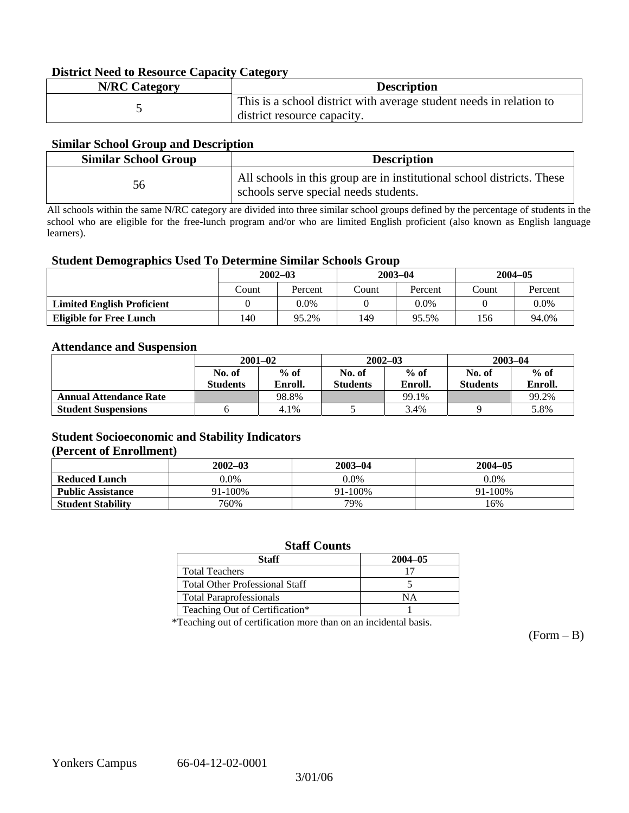### **District Need to Resource Capacity Category**

| <b>N/RC</b> Category | <b>Description</b>                                                  |
|----------------------|---------------------------------------------------------------------|
|                      | This is a school district with average student needs in relation to |
|                      | district resource capacity.                                         |

### **Similar School Group and Description**

| <b>Similar School Group</b> | <b>Description</b>                                                                                              |
|-----------------------------|-----------------------------------------------------------------------------------------------------------------|
| 56.                         | All schools in this group are in institutional school districts. These<br>schools serve special needs students. |

All schools within the same N/RC category are divided into three similar school groups defined by the percentage of students in the school who are eligible for the free-lunch program and/or who are limited English proficient (also known as English language learners).

### **Student Demographics Used To Determine Similar Schools Group**

|                                   | $2002 - 03$ |         | $2003 - 04$ |         | $2004 - 05$ |         |
|-----------------------------------|-------------|---------|-------------|---------|-------------|---------|
|                                   | Count       | Percent | Count       | Percent | Count       | Percent |
| <b>Limited English Proficient</b> |             | 0.0%    |             | 0.0%    |             | $0.0\%$ |
| <b>Eligible for Free Lunch</b>    | 140         | 95.2%   | 149         | 95.5%   | 156         | 94.0%   |

### **Attendance and Suspension**

|                               | $2001 - 02$<br>$%$ of<br>No. of |         |                  | $2002 - 03$ | $2003 - 04$      |         |
|-------------------------------|---------------------------------|---------|------------------|-------------|------------------|---------|
|                               |                                 |         | $%$ of<br>No. of |             | $%$ of<br>No. of |         |
|                               | <b>Students</b>                 | Enroll. | <b>Students</b>  | Enroll.     | <b>Students</b>  | Enroll. |
| <b>Annual Attendance Rate</b> |                                 | 98.8%   |                  | 99.1%       |                  | 99.2%   |
| <b>Student Suspensions</b>    |                                 | 4.1%    |                  | 3.4%        |                  | 5.8%    |

## **Student Socioeconomic and Stability Indicators (Percent of Enrollment)**

|                          | $2002 - 03$  | $2003 - 04$ | $2004 - 05$ |  |
|--------------------------|--------------|-------------|-------------|--|
| <b>Reduced Lunch</b>     | 0.0%         | $0.0\%$     | $0.0\%$     |  |
| <b>Public Assistance</b> | $91 - 100\%$ | 91-100%     | 91-100%     |  |
| <b>Student Stability</b> | 760%         | 79%         | 16%         |  |

### **Staff Counts**

| Staff                                 | $2004 - 05$ |
|---------------------------------------|-------------|
| <b>Total Teachers</b>                 |             |
| <b>Total Other Professional Staff</b> |             |
| <b>Total Paraprofessionals</b>        | NΑ          |
| Teaching Out of Certification*        |             |

\*Teaching out of certification more than on an incidental basis.

 $(Form - B)$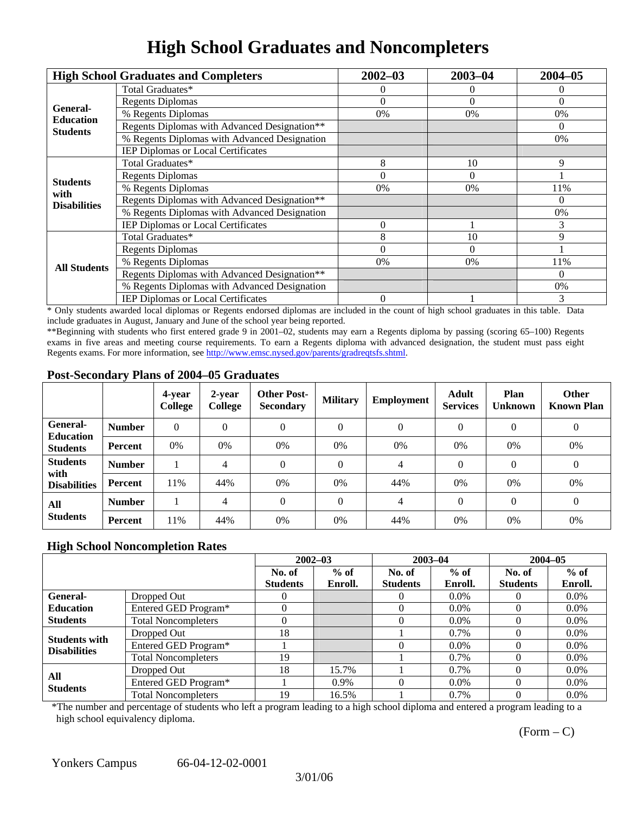## **High School Graduates and Noncompleters**

|                              | <b>High School Graduates and Completers</b>  | $2002 - 03$    | $2003 - 04$ | $2004 - 05$ |
|------------------------------|----------------------------------------------|----------------|-------------|-------------|
|                              | Total Graduates*                             |                | $\theta$    | 0           |
| General-<br><b>Education</b> | <b>Regents Diplomas</b>                      | $\Omega$       | $\Omega$    | $\Omega$    |
|                              | % Regents Diplomas                           | 0%             | 0%          | 0%          |
| <b>Students</b>              | Regents Diplomas with Advanced Designation** |                |             | $\Omega$    |
|                              | % Regents Diplomas with Advanced Designation |                |             | 0%          |
|                              | IEP Diplomas or Local Certificates           |                |             |             |
| <b>Students</b>              | Total Graduates*                             | 8              | 10          | 9           |
|                              | <b>Regents Diplomas</b>                      | $\Omega$       | $\Omega$    |             |
| with                         | % Regents Diplomas                           | $0\%$          | 0%          | 11%         |
| <b>Disabilities</b>          | Regents Diplomas with Advanced Designation** |                |             | $\theta$    |
|                              | % Regents Diplomas with Advanced Designation |                |             | 0%          |
|                              | IEP Diplomas or Local Certificates           | $\Omega$       |             | 3           |
|                              | Total Graduates*                             | 8              | 10          | 9           |
|                              | <b>Regents Diplomas</b>                      | $\Omega$       | $\Omega$    |             |
| <b>All Students</b>          | % Regents Diplomas                           | 0%             | 0%          | 11%         |
|                              | Regents Diplomas with Advanced Designation** |                |             | $\Omega$    |
|                              | % Regents Diplomas with Advanced Designation |                |             | 0%          |
|                              | IEP Diplomas or Local Certificates           | $\overline{0}$ |             | 3           |

\* Only students awarded local diplomas or Regents endorsed diplomas are included in the count of high school graduates in this table. Data include graduates in August, January and June of the school year being reported.

\*\*Beginning with students who first entered grade 9 in 2001–02, students may earn a Regents diploma by passing (scoring 65–100) Regents exams in five areas and meeting course requirements. To earn a Regents diploma with advanced designation, the student must pass eight Regents exams. For more information, see http://www.emsc.nysed.gov/parents/gradreqtsfs.shtml.

### **Post-Secondary Plans of 2004–05 Graduates**

|                              |               | 4-year<br>College | 2-year<br>College | <b>Other Post-</b><br><b>Secondary</b> | <b>Military</b> | Employment | Adult<br><b>Services</b> | Plan<br><b>Unknown</b> | <b>Other</b><br><b>Known Plan</b> |
|------------------------------|---------------|-------------------|-------------------|----------------------------------------|-----------------|------------|--------------------------|------------------------|-----------------------------------|
| General-<br><b>Education</b> | <b>Number</b> | $\theta$          | $\Omega$          | 0                                      | $\theta$        | 0          | $\Omega$                 | $\Omega$               | $\theta$                          |
| <b>Students</b>              | Percent       | 0%                | 0%                | 0%                                     | 0%              | 0%         | 0%                       | 0%                     | 0%                                |
| <b>Students</b><br>with      | <b>Number</b> |                   | 4                 | 0                                      | $\theta$        | 4          | $\Omega$                 | $\Omega$               | 0                                 |
| <b>Disabilities</b>          | Percent       | 11%               | 44%               | 0%                                     | 0%              | 44%        | 0%                       | 0%                     | 0%                                |
| All                          | <b>Number</b> |                   | $\overline{4}$    | $\theta$                               | $\theta$        | 4          | $\Omega$                 | $\theta$               | $\theta$                          |
| <b>Students</b>              | Percent       | 11%               | 44%               | 0%                                     | 0%              | 44%        | 0%                       | 0%                     | 0%                                |

### **High School Noncompletion Rates**

|                      |                            |                 | $2002 - 03$ | $2003 - 04$     |         | $2004 - 05$     |         |
|----------------------|----------------------------|-----------------|-------------|-----------------|---------|-----------------|---------|
|                      |                            | No. of          | $%$ of      | No. of          | $%$ of  | No. of          | $%$ of  |
|                      |                            | <b>Students</b> | Enroll.     | <b>Students</b> | Enroll. | <b>Students</b> | Enroll. |
| General-             | Dropped Out                | 0               |             |                 | $0.0\%$ |                 | $0.0\%$ |
| <b>Education</b>     | Entered GED Program*       |                 |             |                 | $0.0\%$ |                 | $0.0\%$ |
| <b>Students</b>      | <b>Total Noncompleters</b> |                 |             |                 | $0.0\%$ |                 | $0.0\%$ |
| <b>Students with</b> | Dropped Out                | 18              |             |                 | $0.7\%$ |                 | $0.0\%$ |
| <b>Disabilities</b>  | Entered GED Program*       |                 |             |                 | $0.0\%$ |                 | $0.0\%$ |
|                      | <b>Total Noncompleters</b> | 19              |             |                 | $0.7\%$ |                 | $0.0\%$ |
| All                  | Dropped Out                | 18              | 15.7%       |                 | $0.7\%$ |                 | $0.0\%$ |
| <b>Students</b>      | Entered GED Program*       |                 | $0.9\%$     |                 | $0.0\%$ |                 | $0.0\%$ |
|                      | <b>Total Noncompleters</b> | 19              | 16.5%       |                 | 0.7%    |                 | $0.0\%$ |

\*The number and percentage of students who left a program leading to a high school diploma and entered a program leading to a high school equivalency diploma.

 $(Form - C)$ 

Yonkers Campus 66-04-12-02-0001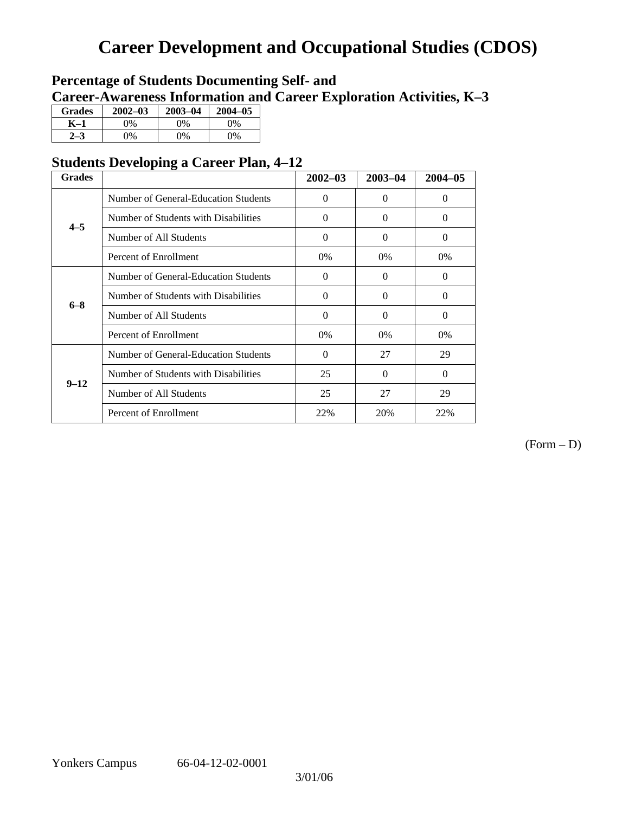## **Career Development and Occupational Studies (CDOS)**

## **Percentage of Students Documenting Self- and Career-Awareness Information and Career Exploration Activities, K–3**

| <b>Grades</b> | $2002 - 03$   | $2003 - 04$ | $2004 - 05$ |
|---------------|---------------|-------------|-------------|
| K–1           | 0%            | $0\%$       | 0%          |
|               | $\frac{1}{2}$ | 9%          | $0\%$       |

## **Students Developing a Career Plan, 4–12**

| <b>Grades</b> |                                      | $2002 - 03$ | $2003 - 04$ | $2004 - 05$ |
|---------------|--------------------------------------|-------------|-------------|-------------|
|               | Number of General-Education Students | $\Omega$    | $\Omega$    | $\Omega$    |
| $4 - 5$       | Number of Students with Disabilities | $\Omega$    | $\Omega$    | $\Omega$    |
|               | Number of All Students               | $\Omega$    | $\Omega$    | $\Omega$    |
|               | Percent of Enrollment                | 0%          | $0\%$       | 0%          |
|               | Number of General-Education Students | $\Omega$    | $\theta$    | $\Omega$    |
| $6 - 8$       | Number of Students with Disabilities | $\Omega$    | $\Omega$    | $\Omega$    |
|               | Number of All Students               | $\Omega$    | $\Omega$    | $\Omega$    |
|               | Percent of Enrollment                | 0%          | $0\%$       | 0%          |
|               | Number of General-Education Students | $\Omega$    | 27          | 29          |
| $9 - 12$      | Number of Students with Disabilities | 25          | $\Omega$    | $\Omega$    |
|               | Number of All Students               | 25          | 27          | 29          |
|               | Percent of Enrollment                | 22%         | 20%         | 22%         |

(Form – D)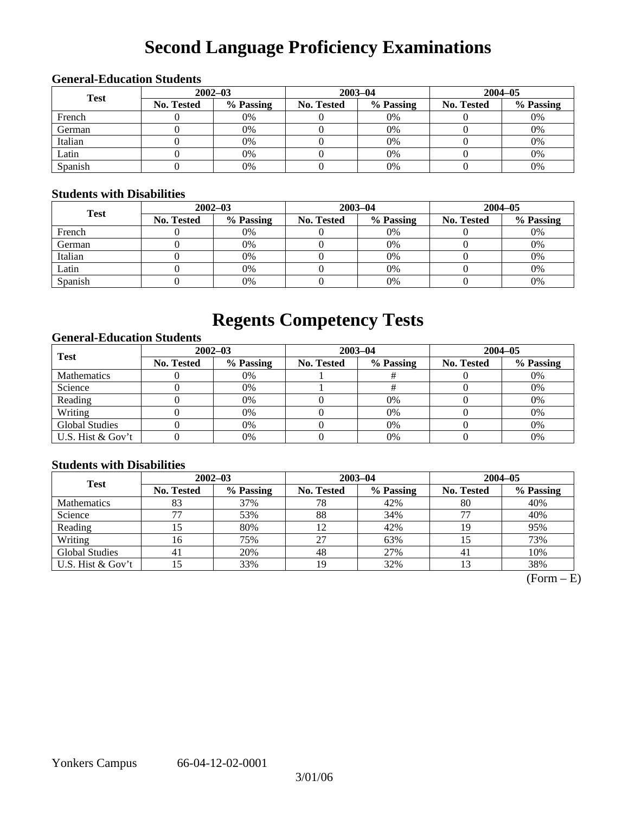# **Second Language Proficiency Examinations**

## **General-Education Students**

| <b>Test</b> | $2002 - 03$       |           |            | $2003 - 04$ | $2004 - 05$       |           |  |
|-------------|-------------------|-----------|------------|-------------|-------------------|-----------|--|
|             | <b>No. Tested</b> | % Passing | No. Tested | % Passing   | <b>No. Tested</b> | % Passing |  |
| French      |                   | 0%        |            | $0\%$       |                   | 0%        |  |
| German      |                   | 0%        |            | $0\%$       |                   | 0%        |  |
| Italian     |                   | 0%        |            | 0%          |                   | 0%        |  |
| Latin       |                   | 0%        |            | $0\%$       |                   | 0%        |  |
| Spanish     |                   | 0%        |            | 0%          |                   | 0%        |  |

### **Students with Disabilities**

| <b>Test</b> | $2002 - 03$ |           |            | $2003 - 04$ | $2004 - 05$       |           |  |
|-------------|-------------|-----------|------------|-------------|-------------------|-----------|--|
|             | No. Tested  | % Passing | No. Tested | % Passing   | <b>No. Tested</b> | % Passing |  |
| French      |             | 0%        |            | $0\%$       |                   | 0%        |  |
| German      |             | 0%        |            | $0\%$       |                   | 0%        |  |
| Italian     |             | 0%        |            | $0\%$       |                   | 0%        |  |
| Latin       |             | 0%        |            | $0\%$       |                   | 0%        |  |
| Spanish     |             | 0%        |            | 0%          |                   | 0%        |  |

## **Regents Competency Tests**

## **General-Education Students**

| <b>Test</b>           | $2002 - 03$       |           |                                                                                  |           | $2004 - 05$ |    |  |
|-----------------------|-------------------|-----------|----------------------------------------------------------------------------------|-----------|-------------|----|--|
|                       | <b>No. Tested</b> | % Passing | $2003 - 04$<br>% Passing<br>No. Tested<br><b>No. Tested</b><br>$0\%$<br>0%<br>0% | % Passing |             |    |  |
| <b>Mathematics</b>    |                   | 0%        |                                                                                  |           |             | 0% |  |
| Science               |                   | 0%        |                                                                                  |           |             | 0% |  |
| Reading               |                   | 0%        |                                                                                  |           |             | 0% |  |
| Writing               |                   | 0%        |                                                                                  |           |             | 0% |  |
| <b>Global Studies</b> |                   | 0%        |                                                                                  |           |             | 0% |  |
| U.S. Hist & Gov't     |                   | 0%        |                                                                                  | 0%        |             | 0% |  |

### **Students with Disabilities**

| <b>Test</b>           | $2002 - 03$       |           |                   |                                                                                              | $2004 - 05$ |     |  |
|-----------------------|-------------------|-----------|-------------------|----------------------------------------------------------------------------------------------|-------------|-----|--|
|                       | <b>No. Tested</b> | % Passing | <b>No. Tested</b> | $2003 - 04$<br>% Passing<br><b>No. Tested</b><br>42%<br>80<br>34%<br>42%<br>63%<br>27%<br>41 | % Passing   |     |  |
| <b>Mathematics</b>    | 83                | 37%       | 78                |                                                                                              |             | 40% |  |
| Science               |                   | 53%       | 88                |                                                                                              |             | 40% |  |
| Reading               |                   | 80%       | 12                |                                                                                              |             | 95% |  |
| Writing               | 16                | 75%       | 27                |                                                                                              |             | 73% |  |
| <b>Global Studies</b> | 41                | 20%       | 48                |                                                                                              |             | 10% |  |
| U.S. Hist & Gov't     | 15                | 33%       | 19                | 32%                                                                                          |             | 38% |  |

 $\overline{\text{(Form - E)}}$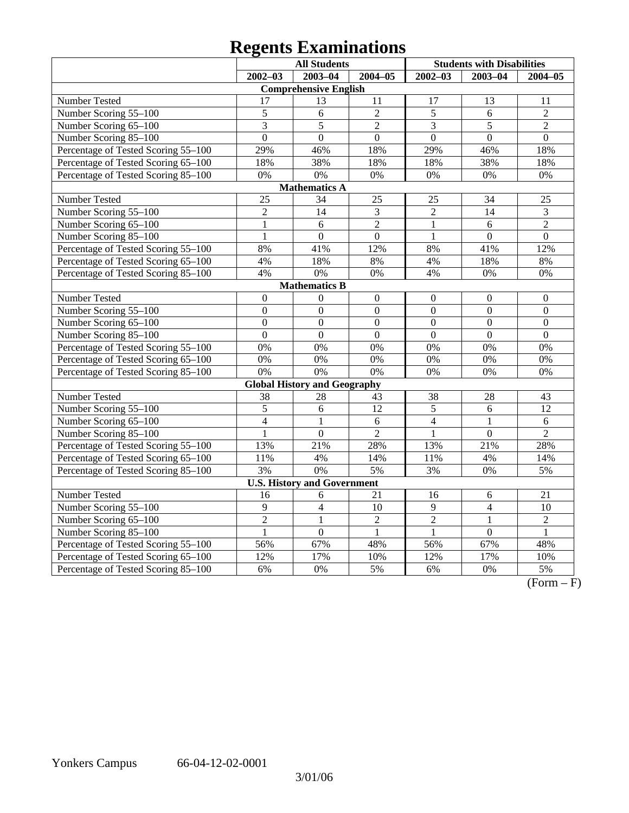# **Regents Examinations**

| <b>All Students</b>                 |                  |                                     |                |                | <b>Students with Disabilities</b> |                |
|-------------------------------------|------------------|-------------------------------------|----------------|----------------|-----------------------------------|----------------|
|                                     | $2002 - 03$      | $2003 - 04$                         | $2004 - 05$    | $2002 - 03$    | $2003 - 04$                       | $2004 - 05$    |
|                                     |                  | <b>Comprehensive English</b>        |                |                |                                   |                |
| Number Tested                       | 17               | 13                                  | 11             | 17             | 13                                | 11             |
| Number Scoring 55-100               | 5                | 6                                   | $\overline{2}$ | $\mathfrak s$  | 6                                 | $\overline{2}$ |
| Number Scoring 65-100               | 3                | 5                                   | $\overline{2}$ | 3              | 5                                 | $\overline{2}$ |
| Number Scoring 85-100               | $\overline{0}$   | $\overline{0}$                      | $\overline{0}$ | $\overline{0}$ | $\overline{0}$                    | $\overline{0}$ |
| Percentage of Tested Scoring 55-100 | 29%              | 46%                                 | 18%            | 29%            | 46%                               | 18%            |
| Percentage of Tested Scoring 65-100 | 18%              | 38%                                 | 18%            | 18%            | 38%                               | 18%            |
| Percentage of Tested Scoring 85-100 | 0%               | 0%                                  | 0%             | 0%             | 0%                                | 0%             |
|                                     |                  | <b>Mathematics A</b>                |                |                |                                   |                |
| Number Tested                       | 25               | 34                                  | 25             | 25             | 34                                | 25             |
| Number Scoring 55-100               | $\overline{2}$   | 14                                  | 3              | $\overline{2}$ | 14                                | 3              |
| Number Scoring 65-100               | $\mathbf{1}$     | 6                                   | $\overline{2}$ | $\mathbf{1}$   | 6                                 | $\overline{2}$ |
| Number Scoring 85-100               | $\overline{1}$   | $\overline{0}$                      | $\overline{0}$ | $\mathbf{1}$   | $\overline{0}$                    | $\overline{0}$ |
| Percentage of Tested Scoring 55-100 | 8%               | 41%                                 | 12%            | 8%             | 41%                               | 12%            |
| Percentage of Tested Scoring 65-100 | 4%               | 18%                                 | 8%             | 4%             | 18%                               | 8%             |
| Percentage of Tested Scoring 85-100 | 4%               | 0%                                  | 0%             | 4%             | 0%                                | 0%             |
|                                     |                  | <b>Mathematics B</b>                |                |                |                                   |                |
| Number Tested                       | $\boldsymbol{0}$ | $\mathbf{0}$                        | $\overline{0}$ | $\theta$       | $\mathbf{0}$                      | $\mathbf{0}$   |
| Number Scoring 55-100               | $\boldsymbol{0}$ | $\overline{0}$                      | $\overline{0}$ | $\overline{0}$ | $\mathbf{0}$                      | $\mathbf{0}$   |
| Number Scoring 65-100               | $\boldsymbol{0}$ | $\Omega$                            | $\Omega$       | $\Omega$       | $\Omega$                          | $\Omega$       |
| Number Scoring 85-100               | $\overline{0}$   | $\Omega$                            | $\overline{0}$ | $\overline{0}$ | $\overline{0}$                    | $\overline{0}$ |
| Percentage of Tested Scoring 55-100 | 0%               | 0%                                  | 0%             | 0%             | 0%                                | 0%             |
| Percentage of Tested Scoring 65-100 | 0%               | 0%                                  | 0%             | 0%             | 0%                                | 0%             |
| Percentage of Tested Scoring 85-100 | 0%               | 0%                                  | 0%             | 0%             | 0%                                | 0%             |
|                                     |                  | <b>Global History and Geography</b> |                |                |                                   |                |
| Number Tested                       | 38               | 28                                  | 43             | 38             | 28                                | 43             |
| Number Scoring 55-100               | 5                | 6                                   | 12             | 5              | 6                                 | 12             |
| Number Scoring 65-100               | $\overline{4}$   | 1                                   | 6              | $\overline{4}$ | $\mathbf{1}$                      | 6              |
| Number Scoring 85-100               | 1                | $\overline{0}$                      | $\overline{2}$ | $\mathbf{1}$   | $\mathbf{0}$                      | $\overline{2}$ |
| Percentage of Tested Scoring 55-100 | 13%              | 21%                                 | 28%            | 13%            | 21%                               | 28%            |
| Percentage of Tested Scoring 65-100 | 11%              | 4%                                  | 14%            | 11%            | 4%                                | 14%            |
| Percentage of Tested Scoring 85-100 | 3%               | 0%                                  | 5%             | 3%             | 0%                                | 5%             |
|                                     |                  | <b>U.S. History and Government</b>  |                |                |                                   |                |
| Number Tested                       | 16               | 6                                   | 21             | 16             | 6                                 | 21             |
| Number Scoring 55-100               | $\overline{9}$   | $\overline{4}$                      | 10             | $\overline{9}$ | $\overline{4}$                    | 10             |
| Number Scoring 65-100               | $\overline{2}$   | $\mathbf{1}$                        | $\overline{2}$ | $\overline{2}$ | $\mathbf{1}$                      | $\overline{2}$ |
| Number Scoring 85-100               | $\mathbf{1}$     | $\boldsymbol{0}$                    | $\mathbf{1}$   | $\mathbf{1}$   | $\mathbf{0}$                      | $\mathbf{1}$   |
| Percentage of Tested Scoring 55-100 | 56%              | 67%                                 | 48%            | 56%            | 67%                               | 48%            |
| Percentage of Tested Scoring 65-100 | 12%              | 17%                                 | 10%            | 12%            | 17%                               | 10%            |
| Percentage of Tested Scoring 85-100 | 6%               | 0%                                  | 5%             | 6%             | 0%                                | 5%             |

 $\overline{(Form - F)}$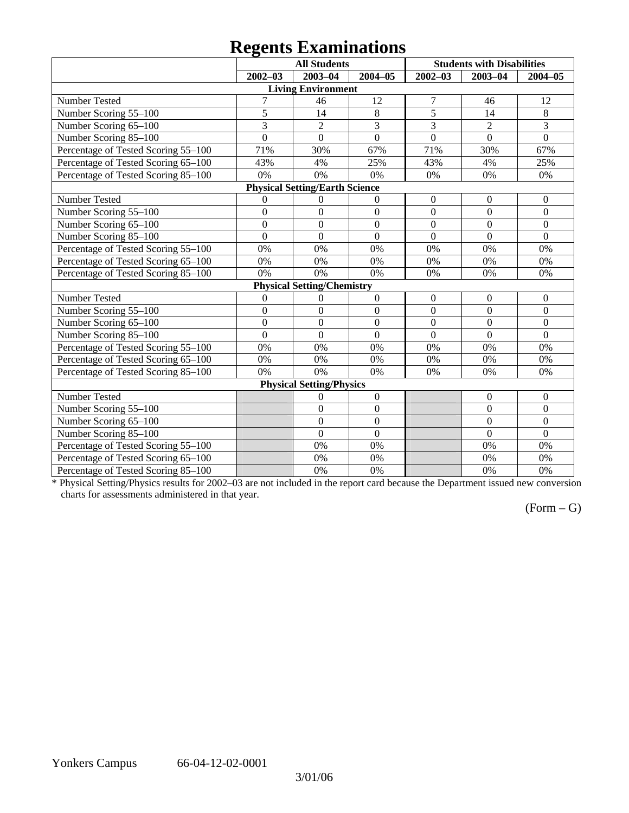# **Regents Examinations**

|                                     | o                | <b>All Students</b>                   |                  |                  | <b>Students with Disabilities</b> |                  |
|-------------------------------------|------------------|---------------------------------------|------------------|------------------|-----------------------------------|------------------|
|                                     | $2002 - 03$      | $2003 - 04$                           | 2004-05          | $2002 - 03$      | $2003 - 04$                       | $2004 - 05$      |
|                                     |                  | <b>Living Environment</b>             |                  |                  |                                   |                  |
| Number Tested                       | $\overline{7}$   | 46                                    | 12               | $\overline{7}$   | 46                                | 12               |
| Number Scoring 55-100               | 5                | 14                                    | $\,8\,$          | $\overline{5}$   | 14                                | $\,8\,$          |
| Number Scoring 65-100               | 3                | $\overline{2}$                        | 3                | 3                | $\overline{2}$                    | 3                |
| Number Scoring 85-100               | $\overline{0}$   | $\overline{0}$                        | $\overline{0}$   | $\overline{0}$   | $\Omega$                          | $\overline{0}$   |
| Percentage of Tested Scoring 55-100 | 71%              | 30%                                   | 67%              | 71%              | 30%                               | 67%              |
| Percentage of Tested Scoring 65-100 | 43%              | 4%                                    | 25%              | 43%              | 4%                                | 25%              |
| Percentage of Tested Scoring 85-100 | 0%               | 0%                                    | 0%               | 0%               | 0%                                | 0%               |
|                                     |                  | <b>Physical Setting/Earth Science</b> |                  |                  |                                   |                  |
| Number Tested                       | $\boldsymbol{0}$ | $\boldsymbol{0}$                      | $\boldsymbol{0}$ | $\boldsymbol{0}$ | $\boldsymbol{0}$                  | $\mathbf{0}$     |
| Number Scoring 55-100               | $\boldsymbol{0}$ | $\mathbf{0}$                          | $\mathbf{0}$     | $\overline{0}$   | $\Omega$                          | $\Omega$         |
| Number Scoring 65-100               | $\overline{0}$   | $\boldsymbol{0}$                      | $\mathbf{0}$     | $\mathbf{0}$     | $\overline{0}$                    | $\mathbf{0}$     |
| Number Scoring 85-100               | $\overline{0}$   | $\overline{0}$                        | $\overline{0}$   | $\overline{0}$   | $\overline{0}$                    | $\overline{0}$   |
| Percentage of Tested Scoring 55-100 | 0%               | 0%                                    | 0%               | 0%               | 0%                                | 0%               |
| Percentage of Tested Scoring 65-100 | 0%               | 0%                                    | 0%               | 0%               | 0%                                | 0%               |
| Percentage of Tested Scoring 85-100 | 0%               | 0%                                    | 0%               | 0%               | 0%                                | 0%               |
|                                     |                  | <b>Physical Setting/Chemistry</b>     |                  |                  |                                   |                  |
| Number Tested                       | $\overline{0}$   | $\boldsymbol{0}$                      | $\boldsymbol{0}$ | $\mathbf{0}$     | $\mathbf{0}$                      | $\overline{0}$   |
| Number Scoring 55-100               | $\overline{0}$   | $\overline{0}$                        | $\overline{0}$   | $\overline{0}$   | $\overline{0}$                    | $\overline{0}$   |
| Number Scoring 65-100               | $\overline{0}$   | $\overline{0}$                        | $\overline{0}$   | $\overline{0}$   | $\overline{0}$                    | $\mathbf{0}$     |
| Number Scoring 85-100               | $\overline{0}$   | $\overline{0}$                        | $\overline{0}$   | $\overline{0}$   | $\overline{0}$                    | $\overline{0}$   |
| Percentage of Tested Scoring 55-100 | 0%               | 0%                                    | 0%               | 0%               | 0%                                | 0%               |
| Percentage of Tested Scoring 65-100 | 0%               | 0%                                    | 0%               | 0%               | 0%                                | 0%               |
| Percentage of Tested Scoring 85-100 | 0%               | 0%                                    | 0%               | 0%               | 0%                                | 0%               |
|                                     |                  | <b>Physical Setting/Physics</b>       |                  |                  |                                   |                  |
| Number Tested                       |                  | 0                                     | $\boldsymbol{0}$ |                  | $\boldsymbol{0}$                  | $\overline{0}$   |
| Number Scoring 55-100               |                  | $\mathbf{0}$                          | $\boldsymbol{0}$ |                  | $\overline{0}$                    | $\boldsymbol{0}$ |
| Number Scoring 65-100               |                  | $\overline{0}$                        | $\overline{0}$   |                  | $\overline{0}$                    | $\overline{0}$   |
| Number Scoring 85-100               |                  | $\overline{0}$                        | $\boldsymbol{0}$ |                  | $\overline{0}$                    | $\mathbf{0}$     |
| Percentage of Tested Scoring 55-100 |                  | 0%                                    | 0%               |                  | 0%                                | 0%               |
| Percentage of Tested Scoring 65-100 |                  | 0%                                    | 0%               |                  | 0%                                | 0%               |
| Percentage of Tested Scoring 85-100 |                  | 0%                                    | 0%               |                  | 0%                                | 0%               |

\* Physical Setting/Physics results for 2002–03 are not included in the report card because the Department issued new conversion charts for assessments administered in that year.

## $(Form - G)$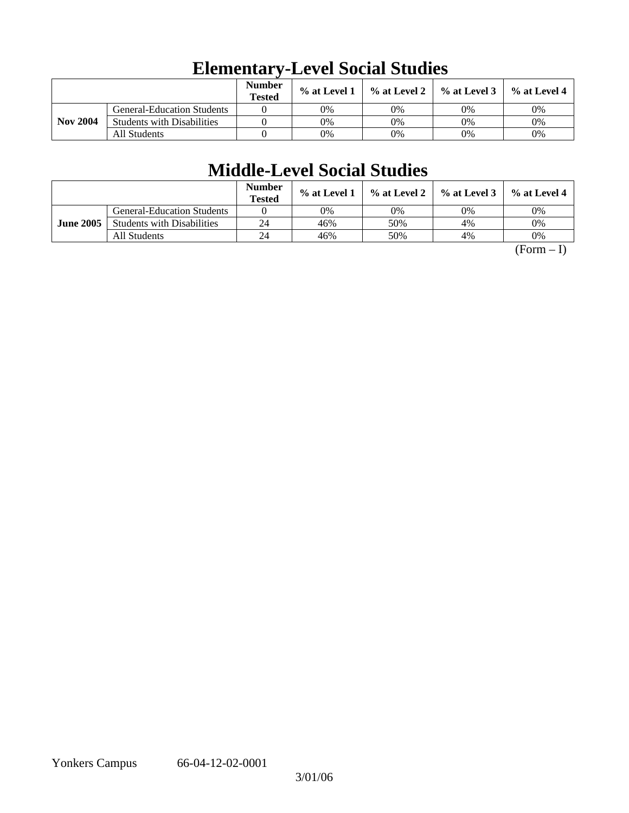|                 |                                   | <b>Number</b><br><b>Tested</b> | % at Level 1 | % at Level 2 | $\%$ at Level 3 | $%$ at Level 4 |
|-----------------|-----------------------------------|--------------------------------|--------------|--------------|-----------------|----------------|
|                 | <b>General-Education Students</b> |                                | 0%           | 0%           | 0%              | 0%             |
| <b>Nov 2004</b> | <b>Students with Disabilities</b> |                                | 0%           | 0%           | 0%              | 0%             |
|                 | All Students                      |                                | 0%           | 0%           | 0%              | 0%             |

## **Elementary-Level Social Studies**

## **Middle-Level Social Studies**

|                  |                                   | <b>Number</b><br><b>Tested</b> | % at Level 1 | $\%$ at Level 2 $\parallel$ | $\%$ at Level 3 | % at Level 4 |
|------------------|-----------------------------------|--------------------------------|--------------|-----------------------------|-----------------|--------------|
|                  | <b>General-Education Students</b> |                                | 0%           | 0%                          | 0%              | 0%           |
| <b>June 2005</b> | <b>Students with Disabilities</b> | 24                             | 46%          | 50%                         | 4%              | 0%           |
|                  | All Students                      | 24                             | 46%          | 50%                         | 4%              | $0\%$        |

 $(Form - I)$